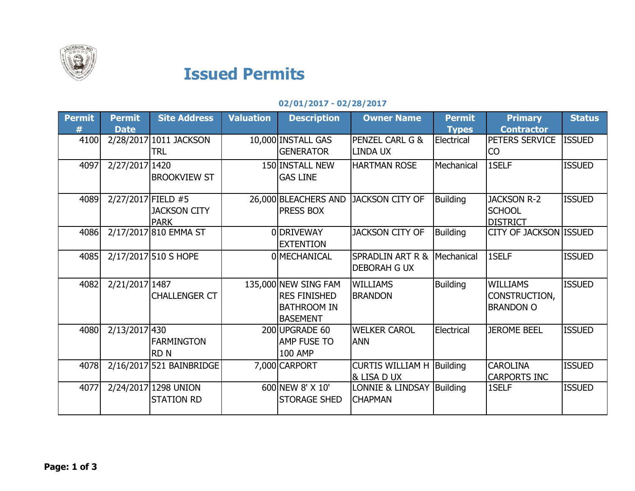

## Issued Permits

## 02/01/2017 - 02/28/2017

| <b>Permit</b><br># | <b>Permit</b><br><b>Date</b> | <b>Site Address</b>                       | <b>Valuation</b> | <b>Description</b>                                                                   | <b>Owner Name</b>                                  | <b>Permit</b><br><b>Types</b> | <b>Primary</b><br><b>Contractor</b>                    | <b>Status</b> |
|--------------------|------------------------------|-------------------------------------------|------------------|--------------------------------------------------------------------------------------|----------------------------------------------------|-------------------------------|--------------------------------------------------------|---------------|
| 4100               |                              | 2/28/2017 1011 JACKSON<br>TRL             |                  | 10,000 INSTALL GAS<br><b>GENERATOR</b>                                               | PENZEL CARL G &<br><b>LINDA UX</b>                 | Electrical                    | PETERS SERVICE<br>CO                                   | <b>ISSUED</b> |
| 4097               | 2/27/2017 1420               | <b>BROOKVIEW ST</b>                       |                  | 150 INSTALL NEW<br><b>GAS LINE</b>                                                   | <b>HARTMAN ROSE</b>                                | Mechanical                    | 1SELF                                                  | <b>ISSUED</b> |
| 4089               | 2/27/2017 FIELD #5           | <b>JACKSON CITY</b><br><b>PARK</b>        |                  | 26,000 BLEACHERS AND<br>PRESS BOX                                                    | <b>JACKSON CITY OF</b>                             | <b>Building</b>               | <b>JACKSON R-2</b><br><b>SCHOOL</b><br><b>DISTRICT</b> | <b>ISSUED</b> |
| 4086               |                              | 2/17/2017 810 EMMA ST                     |                  | 0 DRIVEWAY<br><b>EXTENTION</b>                                                       | <b>JACKSON CITY OF</b>                             | <b>Building</b>               | <b>CITY OF JACKSON ISSUED</b>                          |               |
| 4085               |                              | 2/17/2017 510 S HOPE                      |                  | <b>OIMECHANICAL</b>                                                                  | <b>SPRADLIN ART R &amp;</b><br><b>DEBORAH G UX</b> | Mechanical                    | 1SELF                                                  | <b>ISSUED</b> |
| 4082               | 2/21/2017 1487               | <b>CHALLENGER CT</b>                      |                  | 135,000 NEW SING FAM<br><b>RES FINISHED</b><br><b>BATHROOM IN</b><br><b>BASEMENT</b> | <b>WILLIAMS</b><br><b>BRANDON</b>                  | Building                      | <b>WILLIAMS</b><br>CONSTRUCTION,<br><b>BRANDON O</b>   | <b>ISSUED</b> |
| 4080               | 2/13/2017 430                | <b>FARMINGTON</b><br><b>RDN</b>           |                  | 200UPGRADE 60<br>AMP FUSE TO<br><b>100 AMP</b>                                       | <b>WELKER CAROL</b><br><b>ANN</b>                  | Electrical                    | <b>JEROME BEEL</b>                                     | <b>ISSUED</b> |
| 4078               |                              | 2/16/2017 521 BAINBRIDGE                  |                  | 7,000 CARPORT                                                                        | <b>CURTIS WILLIAM H Building</b><br>& LISA D UX    |                               | <b>CAROLINA</b><br><b>CARPORTS INC</b>                 | <b>ISSUED</b> |
| 4077               |                              | 2/24/2017 1298 UNION<br><b>STATION RD</b> |                  | 600 NEW 8' X 10'<br><b>STORAGE SHED</b>                                              | LONNIE & LINDSAY Building<br><b>CHAPMAN</b>        |                               | 1SELF                                                  | <b>ISSUED</b> |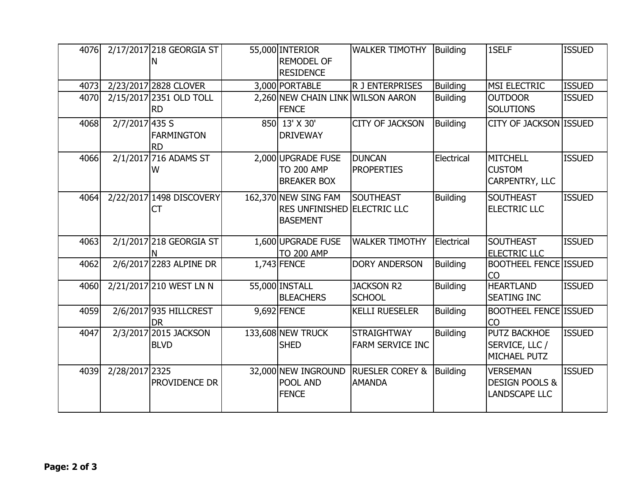| 4076 |                | 2/17/2017 218 GEORGIA ST<br>N        | 55,000 INTERIOR<br><b>REMODEL OF</b><br><b>RESIDENCE</b>                      | <b>WALKER TIMOTHY</b>                         | Building        | 1SELF                                                                | <b>ISSUED</b> |
|------|----------------|--------------------------------------|-------------------------------------------------------------------------------|-----------------------------------------------|-----------------|----------------------------------------------------------------------|---------------|
| 4073 |                | 2/23/2017 2828 CLOVER                | 3,000 PORTABLE                                                                | R J ENTERPRISES                               | <b>Building</b> | MSI ELECTRIC                                                         | <b>ISSUED</b> |
| 4070 |                | 2/15/2017 2351 OLD TOLL<br><b>RD</b> | 2,260 NEW CHAIN LINK WILSON AARON<br><b>FENCE</b>                             |                                               | <b>Building</b> | <b>OUTDOOR</b><br><b>SOLUTIONS</b>                                   | <b>ISSUED</b> |
| 4068 | 2/7/2017 435 S | <b>FARMINGTON</b><br><b>RD</b>       | 850 13' X 30'<br><b>DRIVEWAY</b>                                              | <b>CITY OF JACKSON</b>                        | <b>Building</b> | CITY OF JACKSON ISSUED                                               |               |
| 4066 |                | 2/1/2017 716 ADAMS ST<br>W           | 2,000 UPGRADE FUSE<br><b>TO 200 AMP</b><br><b>BREAKER BOX</b>                 | <b>DUNCAN</b><br><b>PROPERTIES</b>            | Electrical      | <b>MITCHELL</b><br><b>CUSTOM</b><br>CARPENTRY, LLC                   | <b>ISSUED</b> |
| 4064 |                | 2/22/2017 1498 DISCOVERY<br>СT       | 162,370 NEW SING FAM<br><b>RES UNFINISHED ELECTRIC LLC</b><br><b>BASEMENT</b> | <b>SOUTHEAST</b>                              | <b>Building</b> | <b>SOUTHEAST</b><br><b>ELECTRIC LLC</b>                              | <b>ISSUED</b> |
| 4063 |                | 2/1/2017 218 GEORGIA ST<br>N         | 1,600 UPGRADE FUSE<br><b>TO 200 AMP</b>                                       | <b>WALKER TIMOTHY</b>                         | Electrical      | <b>SOUTHEAST</b><br><b>ELECTRIC LLC</b>                              | <b>ISSUED</b> |
| 4062 |                | 2/6/2017 2283 ALPINE DR              | 1,743 FENCE                                                                   | <b>DORY ANDERSON</b>                          | <b>Building</b> | <b>BOOTHEEL FENCE ISSUED</b><br><b>CO</b>                            |               |
| 4060 |                | 2/21/2017 210 WEST LN N              | 55,000 INSTALL<br><b>BLEACHERS</b>                                            | <b>JACKSON R2</b><br><b>SCHOOL</b>            | <b>Building</b> | <b>HEARTLAND</b><br><b>SEATING INC</b>                               | <b>ISSUED</b> |
| 4059 |                | 2/6/2017 935 HILLCREST<br><b>DR</b>  | 9,692 FENCE                                                                   | <b>KELLI RUESELER</b>                         | <b>Building</b> | <b>BOOTHEEL FENCE ISSUED</b><br>CO                                   |               |
| 4047 |                | 2/3/2017 2015 JACKSON<br><b>BLVD</b> | 133,608 NEW TRUCK<br><b>SHED</b>                                              | <b>STRAIGHTWAY</b><br><b>FARM SERVICE INC</b> | <b>Building</b> | PUTZ BACKHOE<br>SERVICE, LLC /<br>MICHAEL PUTZ                       | <b>ISSUED</b> |
| 4039 | 2/28/2017 2325 | PROVIDENCE DR                        | 32,000 NEW INGROUND<br><b>POOL AND</b><br><b>FENCE</b>                        | <b>RUESLER COREY &amp;</b><br><b>AMANDA</b>   | <b>Building</b> | <b>VERSEMAN</b><br><b>DESIGN POOLS &amp;</b><br><b>LANDSCAPE LLC</b> | <b>ISSUED</b> |